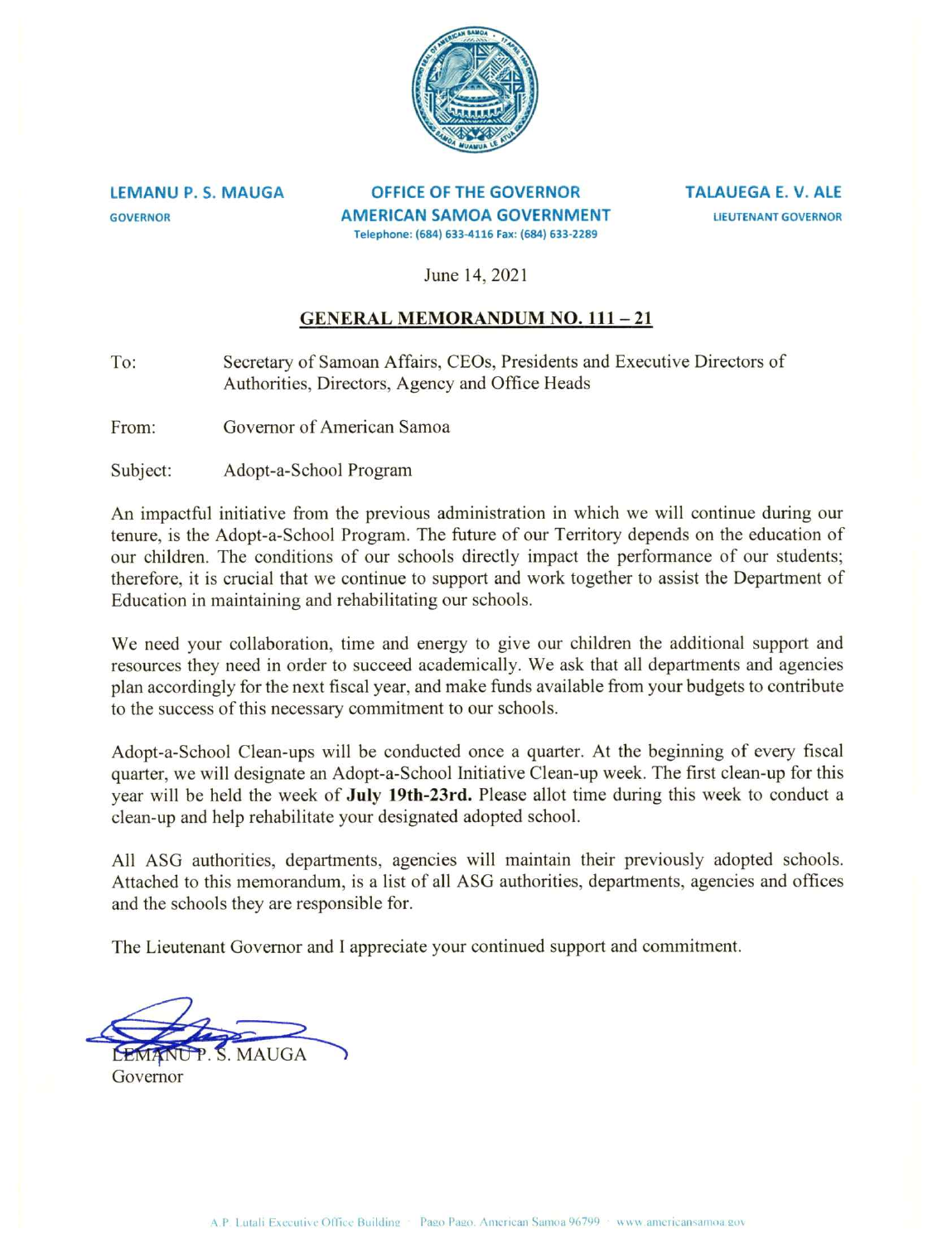

**LEMANU P. S. MAUGA GOVERNOR** 

OFFICE OF THE GOVERNOR **AMERICAN SAMOA GOVERNMENT** Telephone: (684) 633-4116 Fax: (684) 633-2289

**TALAUEGA E. V. ALE LIEUTENANT GOVERNOR** 

June 14, 2021

## **GENERAL MEMORANDUM NO. 111-21**

Secretary of Samoan Affairs, CEOs, Presidents and Executive Directors of To: Authorities, Directors, Agency and Office Heads

Governor of American Samoa From:

Subject: Adopt-a-School Program

An impactful initiative from the previous administration in which we will continue during our tenure, is the Adopt-a-School Program. The future of our Territory depends on the education of our children. The conditions of our schools directly impact the performance of our students; therefore, it is crucial that we continue to support and work together to assist the Department of Education in maintaining and rehabilitating our schools.

We need your collaboration, time and energy to give our children the additional support and resources they need in order to succeed academically. We ask that all departments and agencies plan accordingly for the next fiscal year, and make funds available from your budgets to contribute to the success of this necessary commitment to our schools.

Adopt-a-School Clean-ups will be conducted once a quarter. At the beginning of every fiscal quarter, we will designate an Adopt-a-School Initiative Clean-up week. The first clean-up for this year will be held the week of July 19th-23rd. Please allot time during this week to conduct a clean-up and help rehabilitate your designated adopted school.

All ASG authorities, departments, agencies will maintain their previously adopted schools. Attached to this memorandum, is a list of all ASG authorities, departments, agencies and offices and the schools they are responsible for.

The Lieutenant Governor and I appreciate your continued support and commitment.

S. MAUGA

Governor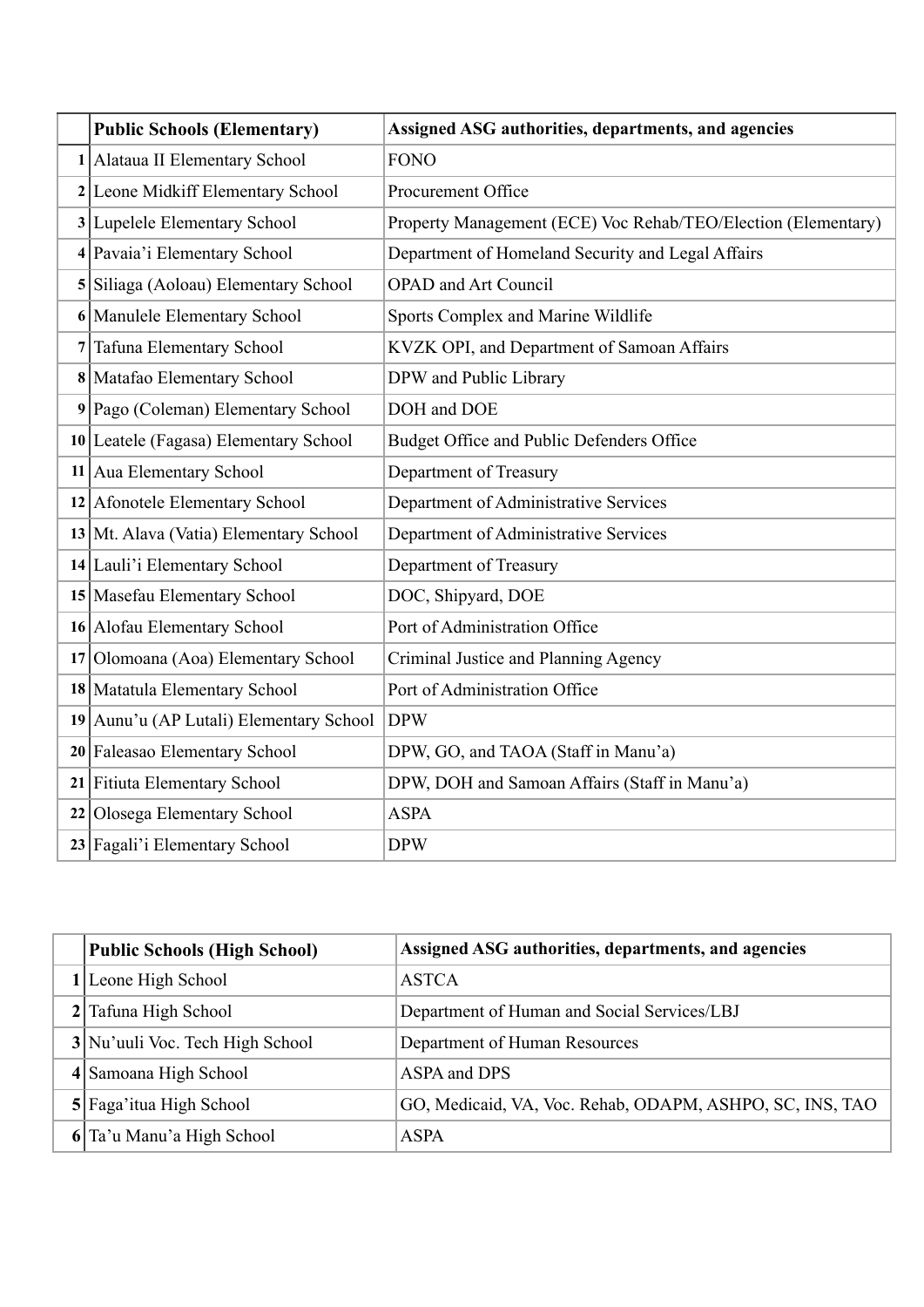| <b>Public Schools (Elementary)</b>      | Assigned ASG authorities, departments, and agencies           |
|-----------------------------------------|---------------------------------------------------------------|
| 1 Alataua II Elementary School          | <b>FONO</b>                                                   |
| 2 Leone Midkiff Elementary School       | Procurement Office                                            |
| 3 Lupelele Elementary School            | Property Management (ECE) Voc Rehab/TEO/Election (Elementary) |
| 4 Pavaia'i Elementary School            | Department of Homeland Security and Legal Affairs             |
| 5 Siliaga (Aoloau) Elementary School    | <b>OPAD</b> and Art Council                                   |
| 6 Manulele Elementary School            | Sports Complex and Marine Wildlife                            |
| 7 Tafuna Elementary School              | KVZK OPI, and Department of Samoan Affairs                    |
| 8 Matafao Elementary School             | DPW and Public Library                                        |
| 9 Pago (Coleman) Elementary School      | DOH and DOE                                                   |
| 10 Leatele (Fagasa) Elementary School   | Budget Office and Public Defenders Office                     |
| 11 Aua Elementary School                | Department of Treasury                                        |
| 12 Afonotele Elementary School          | Department of Administrative Services                         |
| 13 Mt. Alava (Vatia) Elementary School  | Department of Administrative Services                         |
| 14 Lauli'i Elementary School            | Department of Treasury                                        |
| 15 Masefau Elementary School            | DOC, Shipyard, DOE                                            |
| 16 Alofau Elementary School             | Port of Administration Office                                 |
| 17 Olomoana (Aoa) Elementary School     | Criminal Justice and Planning Agency                          |
| 18 Matatula Elementary School           | Port of Administration Office                                 |
| 19 Aunu'u (AP Lutali) Elementary School | <b>DPW</b>                                                    |
| 20 Faleasao Elementary School           | DPW, GO, and TAOA (Staff in Manu'a)                           |
| 21 Fitiuta Elementary School            | DPW, DOH and Samoan Affairs (Staff in Manu'a)                 |
| 22 Olosega Elementary School            | <b>ASPA</b>                                                   |
| 23 Fagali'i Elementary School           | <b>DPW</b>                                                    |

| Public Schools (High School)    | Assigned ASG authorities, departments, and agencies      |
|---------------------------------|----------------------------------------------------------|
| Leone High School               | <b>ASTCA</b>                                             |
| 2 Tafuna High School            | Department of Human and Social Services/LBJ              |
| 3 Nu'uuli Voc. Tech High School | Department of Human Resources                            |
| 4 Samoana High School           | ASPA and DPS                                             |
| 5 Faga'itua High School         | GO, Medicaid, VA, Voc. Rehab, ODAPM, ASHPO, SC, INS, TAO |
| 6 Ta'u Manu'a High School       | ASPA                                                     |